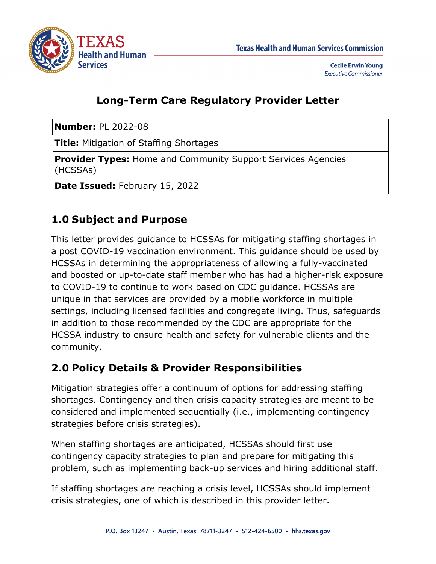

### **Long-Term Care Regulatory Provider Letter**

**Number:** PL 2022-08

**Title:** Mitigation of Staffing Shortages

**Provider Types:** Home and Community Support Services Agencies (HCSSAs)

**Date Issued:** February 15, 2022

### **1.0 Subject and Purpose**

This letter provides guidance to HCSSAs for mitigating staffing shortages in a post COVID-19 vaccination environment. This guidance should be used by HCSSAs in determining the appropriateness of allowing a fully-vaccinated and boosted or up-to-date staff member who has had a higher-risk exposure to COVID-19 to continue to work based on CDC guidance. HCSSAs are unique in that services are provided by a mobile workforce in multiple settings, including licensed facilities and congregate living. Thus, safeguards in addition to those recommended by the CDC are appropriate for the HCSSA industry to ensure health and safety for vulnerable clients and the community.

### **2.0 Policy Details & Provider Responsibilities**

Mitigation strategies offer a continuum of options for addressing staffing shortages. Contingency and then crisis capacity strategies are meant to be considered and implemented sequentially (i.e., implementing contingency strategies before crisis strategies).

When staffing shortages are anticipated, HCSSAs should first use contingency capacity strategies to plan and prepare for mitigating this problem, such as implementing back-up services and hiring additional staff.

If staffing shortages are reaching a crisis level, HCSSAs should implement crisis strategies, one of which is described in this provider letter.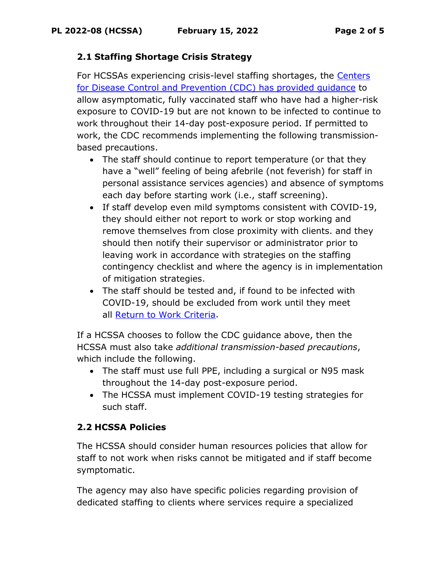#### **2.1 Staffing Shortage Crisis Strategy**

For HCSSAs experiencing crisis-level staffing shortages, the [Centers](https://www.cdc.gov/coronavirus/2019-ncov/hcp/mitigating-staff-shortages.html#print)  [for Disease Control and Prevention \(CDC\)](https://www.cdc.gov/coronavirus/2019-ncov/hcp/mitigating-staff-shortages.html#print) has provided guidance to allow asymptomatic, fully vaccinated staff who have had a higher-risk exposure to COVID-19 but are not known to be infected to continue to work throughout their 14-day post-exposure period. If permitted to work, the CDC recommends implementing the following transmissionbased precautions.

- The staff should continue to report temperature (or that they have a "well" feeling of being afebrile (not feverish) for staff in personal assistance services agencies) and absence of symptoms each day before starting work (i.e., staff screening).
- If staff develop even mild symptoms consistent with COVID-19, they should either not report to work or stop working and remove themselves from close proximity with clients. and they should then notify their supervisor or administrator prior to leaving work in accordance with strategies on the staffing contingency checklist and where the agency is in implementation of mitigation strategies.
- The staff should be tested and, if found to be infected with COVID-19, should be excluded from work until they meet all [Return to Work Criteria.](https://www.cdc.gov/coronavirus/2019-ncov/hcp/return-to-work.html)

If a HCSSA chooses to follow the CDC guidance above, then the HCSSA must also take *additional transmission-based precautions*, which include the following.

- The staff must use full PPE, including a surgical or N95 mask throughout the 14-day post-exposure period.
- The HCSSA must implement COVID-19 testing strategies for such staff.

#### **2.2 HCSSA Policies**

The HCSSA should consider human resources policies that allow for staff to not work when risks cannot be mitigated and if staff become symptomatic.

The agency may also have specific policies regarding provision of dedicated staffing to clients where services require a specialized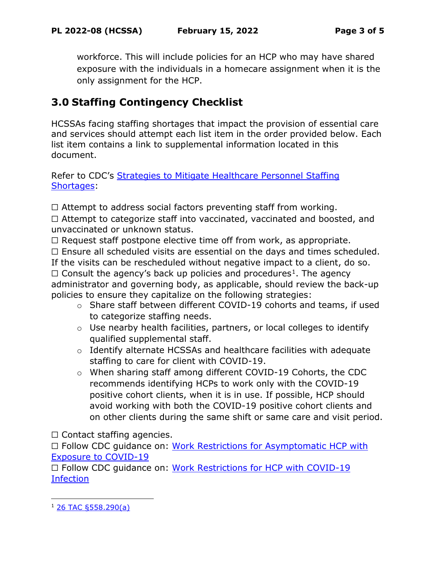workforce. This will include policies for an HCP who may have shared exposure with the individuals in a homecare assignment when it is the only assignment for the HCP.

# **3.0 Staffing Contingency Checklist**

HCSSAs facing staffing shortages that impact the provision of essential care and services should attempt each list item in the order provided below. Each list item contains a link to supplemental information located in this document.

Refer to CDC's Strategies to Mitigate Healthcare Personnel Staffing [Shortages:](https://www.cdc.gov/coronavirus/2019-ncov/hcp/mitigating-staff-shortages.html?ACSTrackingID=USCDC_511-DM72621&ACSTrackingLabel=HAN%20460-%20COCA%20Subscribers&deliveryName=USCDC_511-DM72621)

 $\Box$  Attempt to address social factors preventing staff from working.

☐ Attempt to categorize staff into vaccinated, vaccinated and boosted, and unvaccinated or unknown status.

 $\Box$  Request staff postpone elective time off from work, as appropriate.

 $\Box$  Ensure all scheduled visits are essential on the days and times scheduled.

If the visits can be rescheduled without negative impact to a client, do so.

 $\Box$  Consult the agency's back up policies and procedures<sup>[1](#page-2-0)</sup>. The agency administrator and governing body, as applicable, should review the back-up policies to ensure they capitalize on the following strategies:

- o Share staff between different COVID-19 cohorts and teams, if used to categorize staffing needs.
- o Use nearby health facilities, partners, or local colleges to identify qualified supplemental staff.
- o Identify alternate HCSSAs and healthcare facilities with adequate staffing to care for client with COVID-19.
- o When sharing staff among different COVID-19 Cohorts, the CDC recommends identifying HCPs to work only with the COVID-19 positive cohort clients, when it is in use. If possible, HCP should avoid working with both the COVID-19 positive cohort clients and on other clients during the same shift or same care and visit period.

 $\Box$  Contact staffing agencies.

□ Follow CDC guidance on: Work Restrictions for Asymptomatic HCP with [Exposure to COVID-19](https://www.cdc.gov/coronavirus/2019-ncov/hcp/guidance-risk-assesment-hcp.html?CDC_AA_refVal=https%3A%2F%2Fwww.cdc.gov%2Fcoronavirus%2F2019-ncov%2Fhcp%2Freturn-to-work.html)

☐ Follow CDC guidance on: [Work Restrictions for HCP with COVID-19](https://www.cdc.gov/coronavirus/2019-ncov/hcp/guidance-risk-assesment-hcp.html?CDC_AA_refVal=https%3A%2F%2Fwww.cdc.gov%2Fcoronavirus%2F2019-ncov%2Fhcp%2Freturn-to-work.html)  [Infection](https://www.cdc.gov/coronavirus/2019-ncov/hcp/guidance-risk-assesment-hcp.html?CDC_AA_refVal=https%3A%2F%2Fwww.cdc.gov%2Fcoronavirus%2F2019-ncov%2Fhcp%2Freturn-to-work.html)

<span id="page-2-0"></span> $126$  TAC §558.290(a)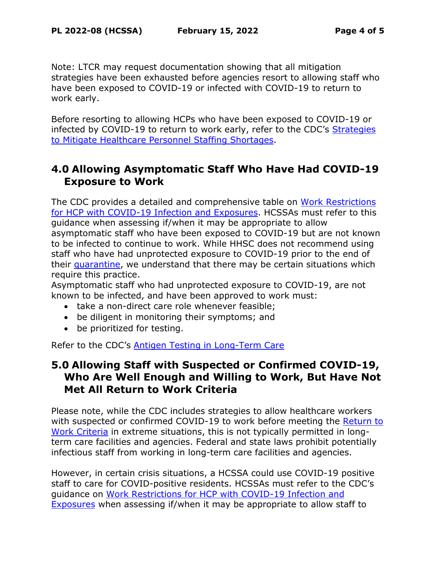Note: LTCR may request documentation showing that all mitigation strategies have been exhausted before agencies resort to allowing staff who have been exposed to COVID-19 or infected with COVID-19 to return to work early.

Before resorting to allowing HCPs who have been exposed to COVID-19 or infected by COVID-19 to return to work early, refer to the CDC's [Strategies](https://www.cdc.gov/coronavirus/2019-ncov/hcp/mitigating-staff-shortages.html)  [to Mitigate Healthcare Personnel Staffing Shortages.](https://www.cdc.gov/coronavirus/2019-ncov/hcp/mitigating-staff-shortages.html)

### **4.0 Allowing Asymptomatic Staff Who Have Had COVID-19 Exposure to Work**

The CDC provides a detailed and comprehensive table on [Work Restrictions](https://www.cdc.gov/coronavirus/2019-ncov/hcp/guidance-risk-assesment-hcp.html?CDC_AA_refVal=https%3A%2F%2Fwww.cdc.gov%2Fcoronavirus%2F2019-ncov%2Fhcp%2Freturn-to-work.html)  [for HCP with COVID-19 Infection and Exposures.](https://www.cdc.gov/coronavirus/2019-ncov/hcp/guidance-risk-assesment-hcp.html?CDC_AA_refVal=https%3A%2F%2Fwww.cdc.gov%2Fcoronavirus%2F2019-ncov%2Fhcp%2Freturn-to-work.html) HCSSAs must refer to this guidance when assessing if/when it may be appropriate to allow asymptomatic staff who have been exposed to COVID-19 but are not known to be infected to continue to work. While HHSC does not recommend using staff who have had unprotected exposure to COVID-19 prior to the end of their [quarantine,](https://www.cdc.gov/coronavirus/2019-ncov/your-health/quarantine-isolation.html?CDC_AA_refVal=https%3A%2F%2Fwww.cdc.gov%2Fcoronavirus%2F2019-ncov%2Fif-you-are-sick%2Fquarantine.html) we understand that there may be certain situations which require this practice.

Asymptomatic staff who had unprotected exposure to COVID-19, are not known to be infected, and have been approved to work must:

- take a non-direct care role whenever feasible;
- be diligent in monitoring their symptoms; and
- be prioritized for testing.

Refer to the CDC's [Antigen Testing in Long-Term Care](https://www.cdc.gov/coronavirus/2019-ncov/hcp/nursing-homes-antigen-testing.html)

### **5.0 Allowing Staff with Suspected or Confirmed COVID-19, Who Are Well Enough and Willing to Work, But Have Not Met All Return to Work Criteria**

Please note, while the CDC includes strategies to allow healthcare workers with suspected or confirmed COVID-19 to work before meeting the Return to [Work Criteria](https://www.cdc.gov/coronavirus/2019-ncov/hcp/return-to-work.html) in extreme situations, this is not typically permitted in longterm care facilities and agencies. Federal and state laws prohibit potentially infectious staff from working in long-term care facilities and agencies.

However, in certain crisis situations, a HCSSA could use COVID-19 positive staff to care for COVID-positive residents. HCSSAs must refer to the CDC's guidance on [Work Restrictions for HCP with COVID-19 Infection and](https://www.cdc.gov/coronavirus/2019-ncov/hcp/guidance-risk-assesment-hcp.html?CDC_AA_refVal=https%3A%2F%2Fwww.cdc.gov%2Fcoronavirus%2F2019-ncov%2Fhcp%2Freturn-to-work.html)  [Exposures](https://www.cdc.gov/coronavirus/2019-ncov/hcp/guidance-risk-assesment-hcp.html?CDC_AA_refVal=https%3A%2F%2Fwww.cdc.gov%2Fcoronavirus%2F2019-ncov%2Fhcp%2Freturn-to-work.html) when assessing if/when it may be appropriate to allow staff to